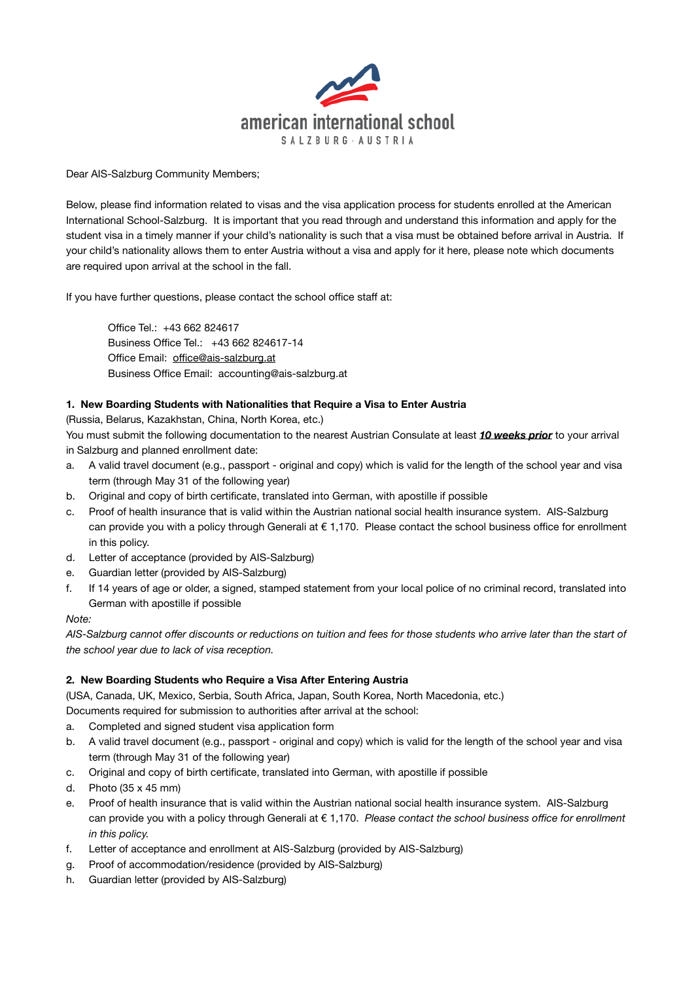

Dear AIS-Salzburg Community Members;

Below, please find information related to visas and the visa application process for students enrolled at the American International School-Salzburg. It is important that you read through and understand this information and apply for the student visa in a timely manner if your child's nationality is such that a visa must be obtained before arrival in Austria. If your child's nationality allows them to enter Austria without a visa and apply for it here, please note which documents are required upon arrival at the school in the fall.

If you have further questions, please contact the school office staff at:

Office Tel.: +43 662 824617 Business Office Tel.: +43 662 824617-14 Office Email: offi[ce@ais-salzburg.at](mailto:office@ais-salzburg.at) Business Office Email: accounting@ais-salzburg.at

# **1. New Boarding Students with Nationalities that Require a Visa to Enter Austria**

(Russia, Belarus, Kazakhstan, China, North Korea, etc.)

You must submit the following documentation to the nearest Austrian Consulate at least *10 weeks prior* to your arrival in Salzburg and planned enrollment date:

- a. A valid travel document (e.g., passport original and copy) which is valid for the length of the school year and visa term (through May 31 of the following year)
- b. Original and copy of birth certificate, translated into German, with apostille if possible
- c. Proof of health insurance that is valid within the Austrian national social health insurance system. AIS-Salzburg can provide you with a policy through Generali at  $\epsilon$  1,170. Please contact the school business office for enrollment in this policy.
- d. Letter of acceptance (provided by AIS-Salzburg)
- e. Guardian letter (provided by AIS-Salzburg)
- f. If 14 years of age or older, a signed, stamped statement from your local police of no criminal record, translated into German with apostille if possible

# *Note:*

*AIS-Salzburg cannot offer discounts or reductions on tuition and fees for those students who arrive later than the start of the school year due to lack of visa reception.* 

# **2. New Boarding Students who Require a Visa After Entering Austria**

(USA, Canada, UK, Mexico, Serbia, South Africa, Japan, South Korea, North Macedonia, etc.) Documents required for submission to authorities after arrival at the school:

- a. Completed and signed student visa application form
- b. A valid travel document (e.g., passport original and copy) which is valid for the length of the school year and visa term (through May 31 of the following year)
- c. Original and copy of birth certificate, translated into German, with apostille if possible
- d. Photo (35 x 45 mm)
- e. Proof of health insurance that is valid within the Austrian national social health insurance system. AIS-Salzburg can provide you with a policy through Generali at € 1,170. *Please contact the school business office for enrollment in this policy.*
- f. Letter of acceptance and enrollment at AIS-Salzburg (provided by AIS-Salzburg)
- g. Proof of accommodation/residence (provided by AIS-Salzburg)
- h. Guardian letter (provided by AIS-Salzburg)